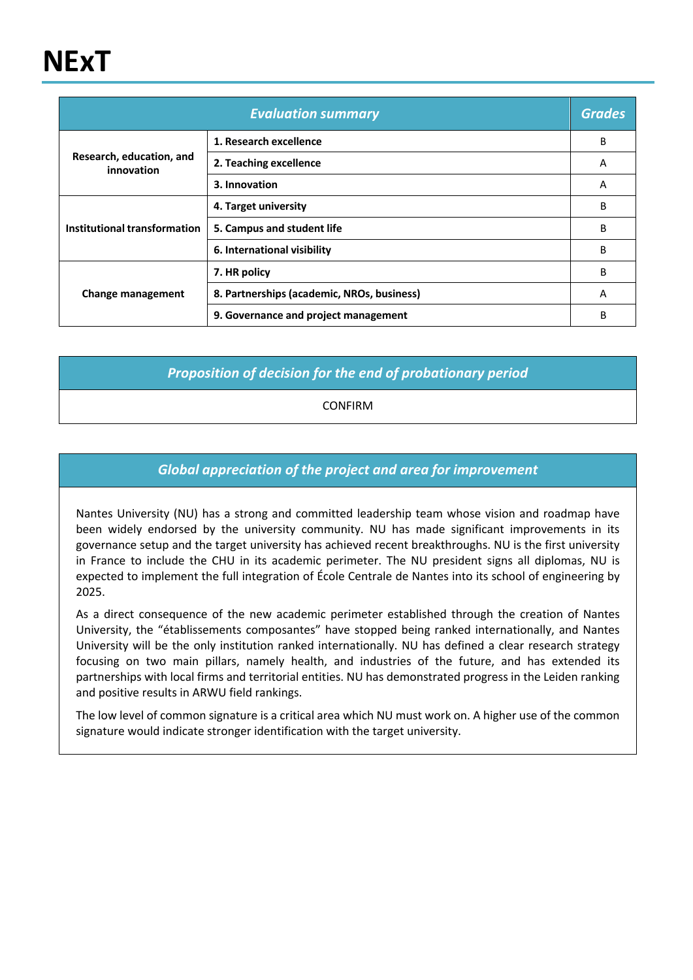# **NExT**

| <b>Evaluation summary</b>              |                                            | <b>Grades</b> |
|----------------------------------------|--------------------------------------------|---------------|
|                                        | 1. Research excellence                     | B             |
| Research, education, and<br>innovation | 2. Teaching excellence                     | A             |
|                                        | 3. Innovation                              | A             |
|                                        | 4. Target university                       | В             |
| Institutional transformation           | 5. Campus and student life                 | В             |
|                                        | 6. International visibility                | В             |
|                                        | 7. HR policy                               | B             |
| <b>Change management</b>               | 8. Partnerships (academic, NROs, business) | A             |
|                                        | 9. Governance and project management       | B             |

*Proposition of decision for the end of probationary period*

CONFIRM

#### *Global appreciation of the project and area for improvement*

Nantes University (NU) has a strong and committed leadership team whose vision and roadmap have been widely endorsed by the university community. NU has made significant improvements in its governance setup and the target university has achieved recent breakthroughs. NU is the first university in France to include the CHU in its academic perimeter. The NU president signs all diplomas, NU is expected to implement the full integration of École Centrale de Nantes into its school of engineering by 2025.

As a direct consequence of the new academic perimeter established through the creation of Nantes University, the "établissements composantes" have stopped being ranked internationally, and Nantes University will be the only institution ranked internationally. NU has defined a clear research strategy focusing on two main pillars, namely health, and industries of the future, and has extended its partnerships with local firms and territorial entities. NU has demonstrated progress in the Leiden ranking and positive results in ARWU field rankings.

The low level of common signature is a critical area which NU must work on. A higher use of the common signature would indicate stronger identification with the target university.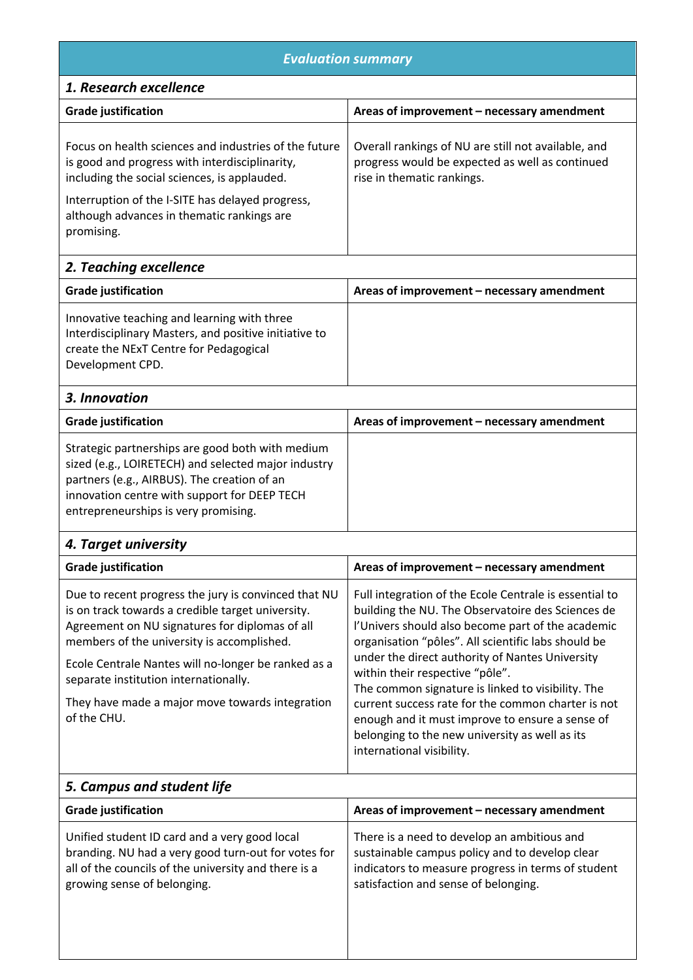## *Evaluation summary*

### *1. Research excellence*

| <b>Grade justification</b>                                                                                                                              | Areas of improvement – necessary amendment                                                                                           |
|---------------------------------------------------------------------------------------------------------------------------------------------------------|--------------------------------------------------------------------------------------------------------------------------------------|
| Focus on health sciences and industries of the future<br>is good and progress with interdisciplinarity,<br>including the social sciences, is applauded. | Overall rankings of NU are still not available, and<br>progress would be expected as well as continued<br>rise in thematic rankings. |
| Interruption of the I-SITE has delayed progress,<br>although advances in thematic rankings are<br>promising.                                            |                                                                                                                                      |

## *2. Teaching excellence*

| <b>Grade justification</b>                                                                                                                                         | Areas of improvement – necessary amendment |
|--------------------------------------------------------------------------------------------------------------------------------------------------------------------|--------------------------------------------|
| Innovative teaching and learning with three<br>Interdisciplinary Masters, and positive initiative to<br>create the NExT Centre for Pedagogical<br>Development CPD. |                                            |

| 3. Innovation                                                                                                                                                                                                                                  |                                            |
|------------------------------------------------------------------------------------------------------------------------------------------------------------------------------------------------------------------------------------------------|--------------------------------------------|
| <b>Grade justification</b>                                                                                                                                                                                                                     | Areas of improvement - necessary amendment |
| Strategic partnerships are good both with medium<br>sized (e.g., LOIRETECH) and selected major industry<br>partners (e.g., AIRBUS). The creation of an<br>innovation centre with support for DEEP TECH<br>entrepreneurships is very promising. |                                            |

#### *4. Target university*

| <b>Grade justification</b>                                                                                                                                                                                                                                                                                                                                                  | Areas of improvement - necessary amendment                                                                                                                                                                                                                                                                                                                                                                                                                                                                                                                 |
|-----------------------------------------------------------------------------------------------------------------------------------------------------------------------------------------------------------------------------------------------------------------------------------------------------------------------------------------------------------------------------|------------------------------------------------------------------------------------------------------------------------------------------------------------------------------------------------------------------------------------------------------------------------------------------------------------------------------------------------------------------------------------------------------------------------------------------------------------------------------------------------------------------------------------------------------------|
| Due to recent progress the jury is convinced that NU<br>is on track towards a credible target university.<br>Agreement on NU signatures for diplomas of all<br>members of the university is accomplished.<br>Ecole Centrale Nantes will no-longer be ranked as a<br>separate institution internationally.<br>They have made a major move towards integration<br>of the CHU. | Full integration of the Ecole Centrale is essential to<br>building the NU. The Observatoire des Sciences de<br>l'Univers should also become part of the academic<br>organisation "pôles". All scientific labs should be<br>under the direct authority of Nantes University<br>within their respective "pôle".<br>The common signature is linked to visibility. The<br>current success rate for the common charter is not<br>enough and it must improve to ensure a sense of<br>belonging to the new university as well as its<br>international visibility. |
|                                                                                                                                                                                                                                                                                                                                                                             |                                                                                                                                                                                                                                                                                                                                                                                                                                                                                                                                                            |

| 5. Campus and student life                                                                                                                                                                  |                                                                                                                                                                                             |
|---------------------------------------------------------------------------------------------------------------------------------------------------------------------------------------------|---------------------------------------------------------------------------------------------------------------------------------------------------------------------------------------------|
| <b>Grade justification</b>                                                                                                                                                                  | Areas of improvement - necessary amendment                                                                                                                                                  |
| Unified student ID card and a very good local<br>branding. NU had a very good turn-out for votes for<br>all of the councils of the university and there is a<br>growing sense of belonging. | There is a need to develop an ambitious and<br>sustainable campus policy and to develop clear<br>indicators to measure progress in terms of student<br>satisfaction and sense of belonging. |